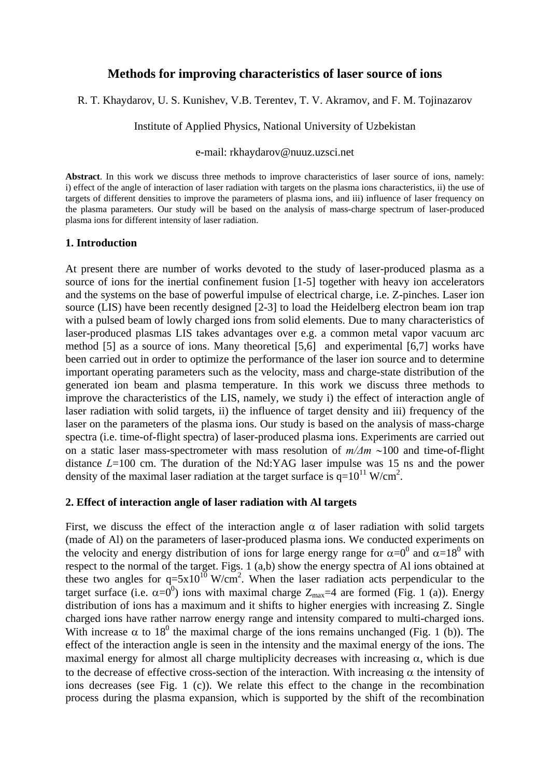# **Methods for improving characteristics of laser source of ions**

R. T. Khaydarov, U. S. Kunishev, V.B. Terentev, T. V. Akramov, and F. M. Tojinazarov

Institute of Applied Physics, National University of Uzbekistan

### e-mail: rkhaydarov@nuuz.uzsci.net

**Abstract**. In this work we discuss three methods to improve characteristics of laser source of ions, namely: i) effect of the angle of interaction of laser radiation with targets on the plasma ions characteristics, ii) the use of targets of different densities to improve the parameters of plasma ions, and iii) influence of laser frequency on the plasma parameters. Our study will be based on the analysis of mass-charge spectrum of laser-produced plasma ions for different intensity of laser radiation.

#### **1. Introduction**

At present there are number of works devoted to the study of laser-produced plasma as a source of ions for the inertial confinement fusion [1-5] together with heavy ion accelerators and the systems on the base of powerful impulse of electrical charge, i.e. Z-pinches. Laser ion source (LIS) have been recently designed [2-3] to load the Heidelberg electron beam ion trap with a pulsed beam of lowly charged ions from solid elements. Due to many characteristics of laser-produced plasmas LIS takes advantages over e.g. a common metal vapor vacuum arc method [5] as a source of ions. Many theoretical [5,6] and experimental [6,7] works have been carried out in order to optimize the performance of the laser ion source and to determine important operating parameters such as the velocity, mass and charge-state distribution of the generated ion beam and plasma temperature. In this work we discuss three methods to improve the characteristics of the LIS, namely, we study i) the effect of interaction angle of laser radiation with solid targets, ii) the influence of target density and iii) frequency of the laser on the parameters of the plasma ions. Our study is based on the analysis of mass-charge spectra (i.e. time-of-flight spectra) of laser-produced plasma ions. Experiments are carried out on a static laser mass-spectrometer with mass resolution of *m/Δm* ∼100 and time-of-flight distance *L*=100 cm. The duration of the Nd:YAG laser impulse was 15 ns and the power density of the maximal laser radiation at the target surface is  $q=10^{11}$  W/cm<sup>2</sup>.

## **2. Effect of interaction angle of laser radiation with Al targets**

First, we discuss the effect of the interaction angle  $\alpha$  of laser radiation with solid targets (made of Al) on the parameters of laser-produced plasma ions. We conducted experiments on the velocity and energy distribution of ions for large energy range for  $\alpha = 0^0$  and  $\alpha = 18^0$  with respect to the normal of the target. Figs. 1 (a,b) show the energy spectra of Al ions obtained at these two angles for  $q=5x10^{10}$  W/cm<sup>2</sup>. When the laser radiation acts perpendicular to the target surface (i.e.  $\alpha = 0^0$ ) ions with maximal charge  $Z_{\text{max}} = 4$  are formed (Fig. 1 (a)). Energy distribution of ions has a maximum and it shifts to higher energies with increasing Z. Single charged ions have rather narrow energy range and intensity compared to multi-charged ions. With increase  $\alpha$  to 18<sup>0</sup> the maximal charge of the ions remains unchanged (Fig. 1 (b)). The effect of the interaction angle is seen in the intensity and the maximal energy of the ions. The maximal energy for almost all charge multiplicity decreases with increasing  $\alpha$ , which is due to the decrease of effective cross-section of the interaction. With increasing  $\alpha$  the intensity of ions decreases (see Fig. 1 (c)). We relate this effect to the change in the recombination process during the plasma expansion, which is supported by the shift of the recombination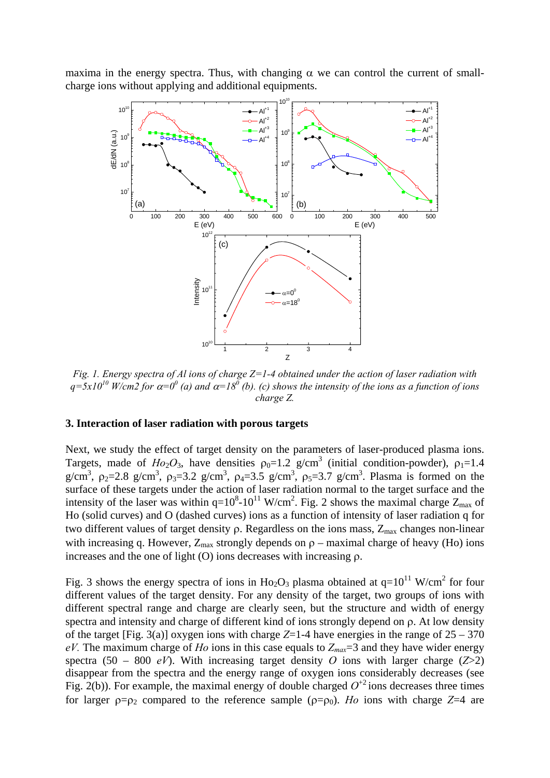maxima in the energy spectra. Thus, with changing  $\alpha$  we can control the current of smallcharge ions without applying and additional equipments.



*Fig. 1. Energy spectra of Al ions of charge Z=1-4 obtained under the action of laser radiation with*   $q=5x10^{10}$  W/cm2 for  $\alpha=0^0$  (a) and  $\alpha=18^0$  (b). (c) shows the intensity of the ions as a function of ions *charge Z.* 

## **3. Interaction of laser radiation with porous targets**

Next, we study the effect of target density on the parameters of laser-produced plasma ions. Targets, made of  $Ho_2O_3$ , have densities  $\rho_0=1.2$  g/cm<sup>3</sup> (initial condition-powder),  $\rho_1=1.4$ g/cm<sup>3</sup>,  $\rho_2 = 2.8$  g/cm<sup>3</sup>,  $\rho_3 = 3.2$  g/cm<sup>3</sup>,  $\rho_4 = 3.5$  g/cm<sup>3</sup>,  $\rho_5 = 3.7$  g/cm<sup>3</sup>. Plasma is formed on the surface of these targets under the action of laser radiation normal to the target surface and the intensity of the laser was within  $q=10^8 \text{-} 10^{11}$  W/cm<sup>2</sup>. Fig. 2 shows the maximal charge  $Z_{\text{max}}$  of Ho (solid curves) and O (dashed curves) ions as a function of intensity of laser radiation q for two different values of target density  $\rho$ . Regardless on the ions mass,  $Z_{\text{max}}$  changes non-linear with increasing q. However,  $Z_{\text{max}}$  strongly depends on  $\rho$  – maximal charge of heavy (Ho) ions increases and the one of light (O) ions decreases with increasing  $\rho$ .

Fig. 3 shows the energy spectra of ions in Ho<sub>2</sub>O<sub>3</sub> plasma obtained at  $q=10^{11}$  W/cm<sup>2</sup> for four different values of the target density. For any density of the target, two groups of ions with different spectral range and charge are clearly seen, but the structure and width of energy spectra and intensity and charge of different kind of ions strongly depend on ρ. At low density of the target [Fig. 3(a)] oxygen ions with charge  $Z=1-4$  have energies in the range of  $25-370$  $eV$ . The maximum charge of *Ho* ions in this case equals to  $Z_{max}=3$  and they have wider energy spectra (50 – 800 *eV*). With increasing target density *O* ions with larger charge ( $Z > 2$ ) disappear from the spectra and the energy range of oxygen ions considerably decreases (see Fig. 2(b)). For example, the maximal energy of double charged  $O^{+2}$  ions decreases three times for larger  $\rho = \rho_2$  compared to the reference sample  $(\rho = \rho_0)$ . *Ho* ions with charge Z=4 are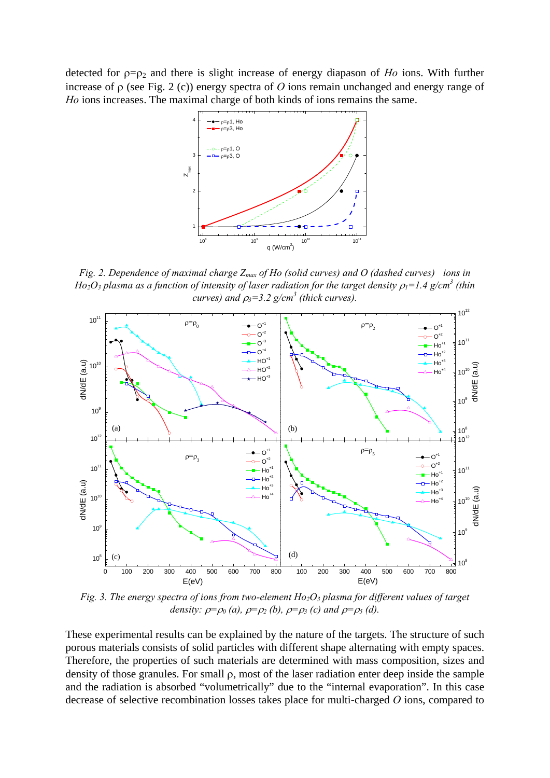detected for ρ=ρ2 and there is slight increase of energy diapason of *Ho* ions. With further increase of ρ (see Fig. 2 (c)) energy spectra of *O* ions remain unchanged and energy range of *Ho* ions increases. The maximal charge of both kinds of ions remains the same.



*Fig. 2. Dependence of maximal charge Z<sub>max</sub> of Ho (solid curves) and O (dashed curves) ions in*  $Ho_2O_3$  plasma as a function of intensity of laser radiation for the target density  $\rho_l$ =1.4 g/cm<sup>3</sup> (thin *curves)* and  $\rho_3 = 3.2$  g/cm<sup>3</sup> (thick curves).



*Fig. 3. The energy spectra of ions from two-element Ho<sub>2</sub>O<sub>3</sub> plasma for different values of target density:*  $\rho = \rho_0$  (*a*),  $\rho = \rho_2$  (*b*),  $\rho = \rho_3$  (*c*) and  $\rho = \rho_5$  (*d*).

These experimental results can be explained by the nature of the targets. The structure of such porous materials consists of solid particles with different shape alternating with empty spaces. Therefore, the properties of such materials are determined with mass composition, sizes and density of those granules. For small ρ, most of the laser radiation enter deep inside the sample and the radiation is absorbed "volumetrically" due to the "internal evaporation". In this case decrease of selective recombination losses takes place for multi-charged *O* ions, compared to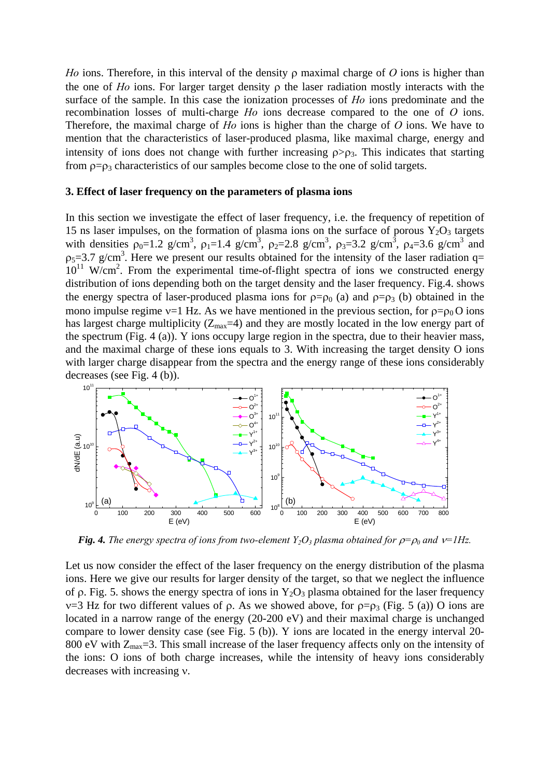*Ho* ions. Therefore, in this interval of the density ρ maximal charge of *O* ions is higher than the one of *Ho* ions. For larger target density ρ the laser radiation mostly interacts with the surface of the sample. In this case the ionization processes of *Ho* ions predominate and the recombination losses of multi-charge *Ho* ions decrease compared to the one of *O* ions. Therefore, the maximal charge of *Ho* ions is higher than the charge of *O* ions. We have to mention that the characteristics of laser-produced plasma, like maximal charge, energy and intensity of ions does not change with further increasing  $\rho > \rho_3$ . This indicates that starting from  $\rho = \rho_3$  characteristics of our samples become close to the one of solid targets.

#### **3. Effect of laser frequency on the parameters of plasma ions**

In this section we investigate the effect of laser frequency, i.e. the frequency of repetition of 15 ns laser impulses, on the formation of plasma ions on the surface of porous  $Y_2O_3$  targets with densities  $\rho_0 = 1.2$  g/cm<sup>3</sup>,  $\rho_1 = 1.4$  g/cm<sup>3</sup>,  $\rho_2 = 2.8$  g/cm<sup>3</sup>,  $\rho_3 = 3.2$  g/cm<sup>3</sup>,  $\rho_4 = 3.6$  g/cm<sup>3</sup> and  $p_5 = 3.7$  g/cm<sup>3</sup>. Here we present our results obtained for the intensity of the laser radiation q=  $10^{11}$  W/cm<sup>2</sup>. From the experimental time-of-flight spectra of ions we constructed energy distribution of ions depending both on the target density and the laser frequency. Fig.4. shows the energy spectra of laser-produced plasma ions for  $p=p_0$  (a) and  $p=p_3$  (b) obtained in the mono impulse regime  $v=1$  Hz. As we have mentioned in the previous section, for  $\rho = \rho_0 O$  ions has largest charge multiplicity ( $Z_{\text{max}}=4$ ) and they are mostly located in the low energy part of the spectrum (Fig. 4 (a)). Y ions occupy large region in the spectra, due to their heavier mass, and the maximal charge of these ions equals to 3. With increasing the target density O ions with larger charge disappear from the spectra and the energy range of these ions considerably decreases (see Fig. 4 (b)).



*<i>Fig. 4. The energy spectra of ions from two-element Y<sub>2</sub>O<sub>3</sub> plasma obtained for*  $\rho = \rho_0$  *and*  $v=1Hz$ *.* 

Let us now consider the effect of the laser frequency on the energy distribution of the plasma ions. Here we give our results for larger density of the target, so that we neglect the influence of ρ. Fig. 5. shows the energy spectra of ions in  $Y_2O_3$  plasma obtained for the laser frequency  $v=3$  Hz for two different values of ρ. As we showed above, for ρ=ρ<sub>3</sub> (Fig. 5 (a)) O ions are located in a narrow range of the energy (20-200 eV) and their maximal charge is unchanged compare to lower density case (see Fig. 5 (b)). Y ions are located in the energy interval 20- 800 eV with  $Z_{\text{max}}=3$ . This small increase of the laser frequency affects only on the intensity of the ions: O ions of both charge increases, while the intensity of heavy ions considerably decreases with increasing ν.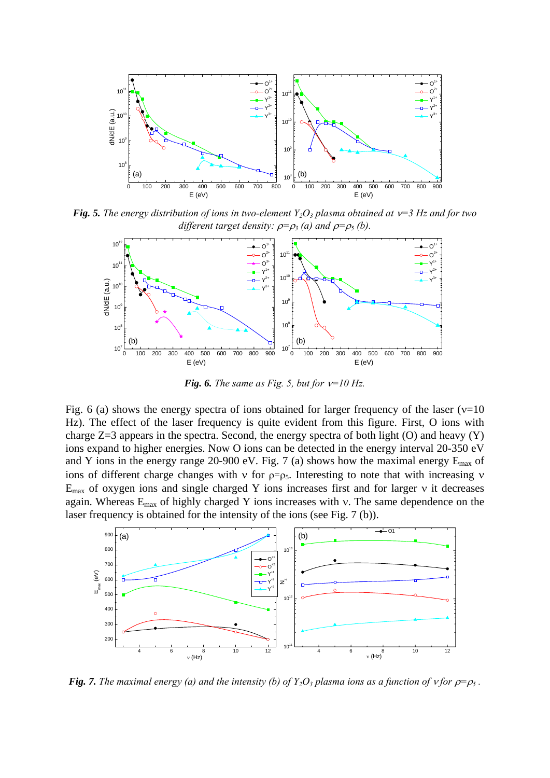

*Fig. 5. The energy distribution of ions in two-element Y<sub>2</sub>O<sub>3</sub> plasma obtained at*  $v=3$  *Hz and for two different target density:*  $\rho = \rho_3$  (*a*) and  $\rho = \rho_5$  (*b*).



*Fig. 6. The same as Fig. 5, but for*  $v=10$  *Hz.* 

Fig. 6 (a) shows the energy spectra of ions obtained for larger frequency of the laser ( $v=10$ Hz). The effect of the laser frequency is quite evident from this figure. First, O ions with charge Z=3 appears in the spectra. Second, the energy spectra of both light (O) and heavy (Y) ions expand to higher energies. Now O ions can be detected in the energy interval 20-350 eV and Y ions in the energy range 20-900 eV. Fig. 7 (a) shows how the maximal energy  $E_{\text{max}}$  of ions of different charge changes with ν for  $p=p_5$ . Interesting to note that with increasing ν Emax of oxygen ions and single charged Y ions increases first and for larger ν it decreases again. Whereas  $E_{\text{max}}$  of highly charged Y ions increases with v. The same dependence on the laser frequency is obtained for the intensity of the ions (see Fig. 7 (b)).



*<i>Fig. 7. The maximal energy (a) and the intensity (b) of*  $Y_2O_3$  *plasma ions as a function of v for*  $\rho = \rho_5$ *.*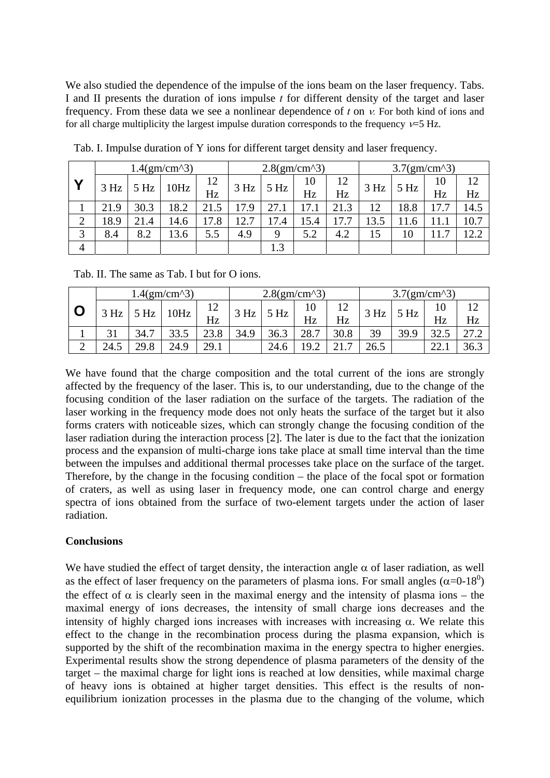We also studied the dependence of the impulse of the ions beam on the laser frequency. Tabs. I and II presents the duration of ions impulse *t* for different density of the target and laser frequency. From these data we see a nonlinear dependence of *t* on ν*.* For both kind of ions and for all charge multiplicity the largest impulse duration corresponds to the frequency  $v=5$  Hz.

|                | $1.4(gm/cm^{3})$ |      |      |      | $2.8(gm/cm^{3})$ |      |      |      | $3.7(gm/cm^{3})$ |      |      |      |  |
|----------------|------------------|------|------|------|------------------|------|------|------|------------------|------|------|------|--|
| Υ              | 3 Hz             | 5 Hz | 10Hz | 12   | 3 Hz             | 5 Hz | 10   | 12   | 3 Hz             | 5 Hz | 10   | 12   |  |
|                |                  |      |      | Hz   |                  |      | Hz   | Hz   |                  |      | Hz   | Hz   |  |
|                | 21.9             | 30.3 | 18.2 | 21.5 | 17.9             | 27.1 | 17.1 | 21.3 | 12               | 18.8 | 17.7 | 14.5 |  |
| $\overline{2}$ | 18.9             | 21.4 | 14.6 | 17.8 | 12.7             | 17.4 | 15.4 | 17.7 | 13.5             | 11.6 |      | 10.7 |  |
| 3              | 8.4              | 8.2  | 13.6 | 5.5  | 4.9              | 9    | 5.2  | 4.2  | 15               | 10   |      | 12.2 |  |
| $\overline{4}$ |                  |      |      |      |                  | 1.3  |      |      |                  |      |      |      |  |

Tab. I. Impulse duration of Y ions for different target density and laser frequency.

Tab. II. The same as Tab. I but for O ions.

|        | $1.4(gm/cm^{3})$ |      |      |               | $2.8(gm/cm^{3})$ |                 |                               |                        | $3.7(gm/cm^{3})$ |      |      |      |
|--------|------------------|------|------|---------------|------------------|-----------------|-------------------------------|------------------------|------------------|------|------|------|
|        | 3 Hz             | Hz   | 0Hz  | ┸ <del></del> | 3 Hz             | 5 <sub>Hz</sub> | 10                            | $1^{\circ}$            |                  | 5 Hz | 10   |      |
|        |                  |      |      | Hz            |                  |                 | Hz                            | Hz                     |                  |      | Hz   | Hz   |
|        |                  | 34.7 |      | 23.8          | 34.9             | 36.3            | 28.7                          | 30.8                   | 39               | 39.9 | 32.5 | 27.2 |
| ⌒<br>∸ | 24.5             | 29.8 | 24.9 | 29.1          |                  | 24.6            | $\overline{1}$ $\overline{0}$ | $\overline{ }$<br>ົາ 1 | 26.5             |      | 22.  | 36.3 |

We have found that the charge composition and the total current of the ions are strongly affected by the frequency of the laser. This is, to our understanding, due to the change of the focusing condition of the laser radiation on the surface of the targets. The radiation of the laser working in the frequency mode does not only heats the surface of the target but it also forms craters with noticeable sizes, which can strongly change the focusing condition of the laser radiation during the interaction process [2]. The later is due to the fact that the ionization process and the expansion of multi-charge ions take place at small time interval than the time between the impulses and additional thermal processes take place on the surface of the target. Therefore, by the change in the focusing condition – the place of the focal spot or formation of craters, as well as using laser in frequency mode, one can control charge and energy spectra of ions obtained from the surface of two-element targets under the action of laser radiation.

# **Conclusions**

We have studied the effect of target density, the interaction angle  $\alpha$  of laser radiation, as well as the effect of laser frequency on the parameters of plasma ions. For small angles  $(\alpha=0-18^0)$ the effect of  $\alpha$  is clearly seen in the maximal energy and the intensity of plasma ions – the maximal energy of ions decreases, the intensity of small charge ions decreases and the intensity of highly charged ions increases with increases with increasing  $\alpha$ . We relate this effect to the change in the recombination process during the plasma expansion, which is supported by the shift of the recombination maxima in the energy spectra to higher energies. Experimental results show the strong dependence of plasma parameters of the density of the target – the maximal charge for light ions is reached at low densities, while maximal charge of heavy ions is obtained at higher target densities. This effect is the results of nonequilibrium ionization processes in the plasma due to the changing of the volume, which